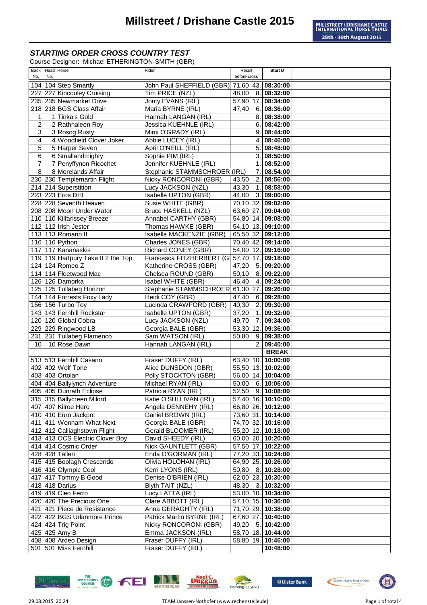Course Designer: Michael ETHERINGTON-SMITH (GBR)

| Back Head Horse                         | Rider                                        | Result                                   | <b>Start D</b>     |  |
|-----------------------------------------|----------------------------------------------|------------------------------------------|--------------------|--|
| No.<br>No.                              |                                              | before cross                             |                    |  |
| 104 104 Step Smartly                    | John Paul SHEFFIELD (GBR) 71,60 43. 08:30:00 |                                          |                    |  |
| 227 227 Kincooley Cruising              | Tim PRICE (NZL)                              | 48,00                                    | 8. 08:32:00        |  |
| 235 235 Newmarket Dove                  | Jonty EVANS (IRL)                            | 57,90 17. 08:34:00                       |                    |  |
| 218 218 BGS Class Affair                | Maria BYRNE (IRL)                            | 47,40                                    | 6.08:36:00         |  |
| 1 Tinka's Gold<br>1                     | Hannah LANGAN (IRL)                          | 8.1                                      | 08:38:00           |  |
| 2<br>2 Rathnaleen Roy                   | Jessica KUEHNLE (IRL)                        |                                          | 6.08:42:00         |  |
| 3<br>3 Rosog Rusty                      | Mimi O'GRADY (IRL)                           |                                          | 9.08:44:00         |  |
| 4 Woodfield Clover Joker<br>4           | Abbie LUCEY (IRL)                            | 4.1                                      | 08:46:00           |  |
| 5<br>5 Harper Seven                     | April O'NEILL (IRL)                          |                                          | 5.08:48:00         |  |
| 6 Smallandmighty<br>6                   | Sophie PIM (IRL)                             | 3.                                       | 08:50:00           |  |
| $\overline{7}$<br>7 Penyffynon Ricochet | Jennifer KUEHNLE (IRL)                       | 1.                                       | 08:52:00           |  |
| 8 Morelands Affair<br>8                 | Stephanie STAMMSCHROER (IRL)                 | 7.                                       | 08:54:00           |  |
| 230 230 Templemartin Flight             | Nicky RONCORONI (GBR)                        | 43,50                                    | 2. 08:56:00        |  |
| 214 214 Superstition                    | Lucy JACKSON (NZL)                           | 43,30<br>$\mathbf{1}$ .                  | 08:58:00           |  |
| 223 223 Eros DHI                        | Isabelle UPTON (GBR)                         | 44,00                                    | 3.09:00:00         |  |
| 228 228 Seventh Heaven                  | Susie WHITE (GBR)                            | 70,10 32. 09:02:00                       |                    |  |
| 208 208 Moon Under Water                | Bruce HASKELL (NZL)                          | 63,60 27. 09:04:00                       |                    |  |
| 110 110 Kilfarissey Breeze              | Annabel CARTHY (GBR)                         | 54,80 14. 09:08:00                       |                    |  |
| 112 112 Irish Jester                    | Thomas HAWKE (GBR)                           | 54,10 13. 09:10:00                       |                    |  |
| 113 113 Romario II                      | Isabella MACKENZIE (GBR)                     | 65,50 32. 09:12:00                       |                    |  |
| 116 116 Python                          | Charles JONES (GBR)                          | 70,40 42. 09:14:00                       |                    |  |
| 117 117 Kananaskis                      | Richard CONEY (GBR)                          | $\overline{54,00}$ 12. 09:16:00          |                    |  |
| 119 119 Hartpury Take It 2 the Top      | Francesca FITZHERBERT (GI 57,70 17. 09:18:00 |                                          |                    |  |
| 124 124 Romeo Z                         | Katherine CROSS (GBR)                        | 47,20                                    | 5. 09:20:00        |  |
| 114 114 Fleetwood Mac                   | Chelsea ROUND (GBR)                          | 50, 10                                   | 8. 09:22:00        |  |
| 126 126 Damorka                         | Isabel WHITE (GBR)                           | $\frac{46,40}{ }$                        | 4. 09:24:00        |  |
| 125 125 Tullabeg Horizon                | Stephanie STAMMSCHROER                       | 61,30 27.                                | 09:26:00           |  |
| 144 144 Forrests Foxy Lady              | Heidi COY (GBR)                              | 47,40                                    | 6.09:28:00         |  |
| 156 156 Turbo Toy                       | Lucinda CRAWFORD (GBR)                       | 40,30                                    | 2. 09:30:00        |  |
| 143 143 Fernhill Rockstar               | Isabelle UPTON (GBR)                         | 37,20                                    | 1. 09:32:00        |  |
| 120 120 Global Cobra                    | Lucy JACKSON (NZL)                           | 49,70<br>7.                              | 09:34:00           |  |
| 229 229 Ringwood LB                     | Georgia BALE (GBR)                           | 53,30 12.                                | 09:36:00           |  |
| 231 231 Tullabeg Flamenco               | Sam WATSON (IRL)                             | 50,80<br>9.                              | 09:38:00           |  |
| 10<br>10 Rose Dawn                      | Hannah LANGAN (IRL)                          | 2.                                       | 09:40:00           |  |
|                                         |                                              |                                          | <b>BREAK</b>       |  |
| 513 513 Fernhill Casano                 | Fraser DUFFY (IRL)                           | 63,40 10. 10:00:00                       |                    |  |
| 402 402 Wolf Tone                       | Alice DUNSDON (GBR)                          | 55,50 13. 10:02:00                       |                    |  |
| 403 403 Ortolan                         | Polly STOCKTON (GBR)                         | 56,00 14. 10:04:00                       |                    |  |
| 404 404 Ballylynch Adventure            | Michael RYAN (IRL)                           | 50,00                                    | 6.10:06:00         |  |
| 405 405 Dunrath Eclipse                 | Patricia RYAN (IRL)                          | $52,50$ 9. 10:08:00                      |                    |  |
| 315 315 Ballycreen Milord               | Katie O'SULLIVAN (IRL)                       | 57,40 16. 10:10:00                       |                    |  |
| 407 407 Kilroe Hero                     | Angela DENNEHY (IRL)                         | 66,80 26. 10:12:00                       |                    |  |
| 410 410 Euro Jackpot                    | Daniel BROWN (IRL)                           |                                          | 73,60 31. 10:14:00 |  |
| 411 411 Wonham What Next                |                                              |                                          |                    |  |
| 412 412 Calliaghstown Flight            | Georgia BALE (GBR)<br>Gerald BLOOMER (IRL)   | 74,70 32. 10:16:00<br>55,20 12. 10:18:00 |                    |  |
| 413 413 OCS Electric Clover Boy         | David SHEEDY (IRL)                           | 60,00 20. 10:20:00                       |                    |  |
| 414 414 Cosmic Order                    | Nick GAUNTLETT (GBR)                         |                                          |                    |  |
| 428 428 Tallen                          | Enda O'GORMAN (IRL)                          | 57,50 17. 10:22:00<br>77,20 33. 10:24:00 |                    |  |
|                                         |                                              | 64,90 25. 10:26:00                       |                    |  |
| 415 415 Boolagh Crescendo               | Olivia HOLOHAN (IRL)                         |                                          |                    |  |
| 416 416 Olympic Cool                    | Kerri LYONS (IRL)                            | 50,80 8. 10:28:00                        |                    |  |
| 417 417 Tommy B Good                    | Denise O'BRIEN (IRL)                         | 62,00 23. 10:30:00                       |                    |  |
| 418 418 Darius                          | Blyth TAIT (NZL)                             | 48,30                                    | 3. 10:32:00        |  |
| 419 419 Cleo Ferro                      | Lucy LATTA (IRL)                             | 53,00 10. 10:34:00                       |                    |  |
| 420 420 The Precious One                | Clare ABBOTT (IRL)                           |                                          | 57,10 15. 10:36:00 |  |
| 421 421 Piece de Resistance             | Anna GERAGHTY (IRL)                          | 71,70 29. 10:38:00                       |                    |  |
| 422 422 BGS Urlanmore Prince            | Patrick Martin BYRNE (IRL)                   | 67,60 27. 10:40:00                       |                    |  |
| 424 424 Trig Point                      | Nicky RONCORONI (GBR)                        | 49,20 5. 10:42:00                        |                    |  |
| 425 425 Amy B                           | Emma JACKSON (IRL)                           | 58,70 18. 10:44:00                       |                    |  |
| 408 408 Ardeo Design                    | Fraser DUFFY (IRL)                           | 58,80 19. 10:46:00                       |                    |  |
| 501 501 Miss Fernhill                   | Fraser DUFFY (IRL)                           |                                          | 10:48:00           |  |













**国**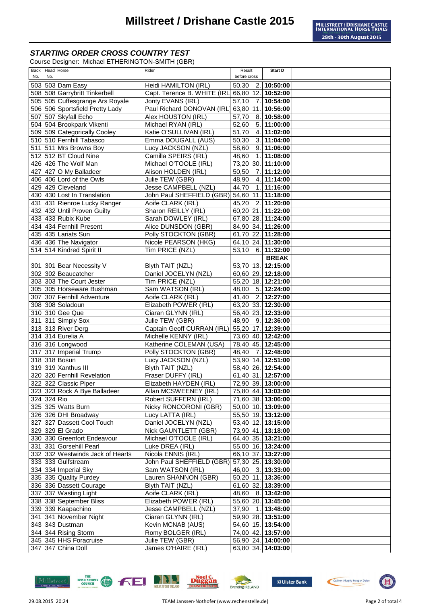Course Designer: Michael ETHERINGTON-SMITH (GBR)

| Back Head Horse                  | Rider                                        | Result             | Start D            |
|----------------------------------|----------------------------------------------|--------------------|--------------------|
| No.<br>No.                       |                                              | before cross       |                    |
|                                  |                                              |                    |                    |
| 503 503 Dam Easy                 | Heidi HAMILTON (IRL)                         | 50,30              | 2.10:50:00         |
| 508 508 Garrybritt Tinkerbell    | Capt. Terence B. WHITE (IRL                  | 66,80 12. 10:52:00 |                    |
| 505 505 Cuffesgrange Ars Royale  | Jonty EVANS (IRL)                            | 57,10              | 7.10:54:00         |
| 506 506 Sportsfield Pretty Lady  | Paul Richard DONOVAN (IRL)                   | 63,80 11. 10:56:00 |                    |
| 507 507 Skyfall Echo             | Alex HOUSTON (IRL)                           | 57,70              | 8. 10:58:00        |
|                                  |                                              |                    |                    |
| 504 504 Brookpark Vikenti        | Michael RYAN (IRL)                           | 52,60              | 5. 11:00:00        |
| 509 509 Categorically Cooley     | Katie O'SULLIVAN (IRL)                       | 51,70              | 4. 11:02:00        |
| 510 510 Fernhill Tabasco         | Emma DOUGALL (AUS)                           | 50,30              | 3. 11:04:00        |
| 511 511 Mrs Browns Boy           | Lucy JACKSON (NZL)                           | 58,60              | 9.11:06:00         |
| 512 512 BT Cloud Nine            | Camilla SPEIRS (IRL)                         |                    | 1.11:08:00         |
|                                  |                                              | 48,60              |                    |
| 426 426 The Wolf Man             | Michael O'TOOLE (IRL)                        | 73,20 30. 11:10:00 |                    |
| 427 427 O My Balladeer           | Alison HOLDEN (IRL)                          | 50,50              | 7. 11:12:00        |
| 406 406 Lord of the Owls         | Julie TEW (GBR)                              | 48,90              | 4. 11:14:00        |
| 429 429 Cleveland                | Jesse CAMPBELL (NZL)                         | 44,70              | 1.11:16:00         |
|                                  |                                              |                    |                    |
| 430 430 Lost In Translation      | John Paul SHEFFIELD (GBR) 54,60 11. 11:18:00 |                    |                    |
| 431 431 Rienroe Lucky Ranger     | Aoife CLARK (IRL)                            | 45,20              | 2. 11:20:00        |
| 432 432 Until Proven Guilty      | Sharon REILLY (IRL)                          | 60,20 21. 11:22:00 |                    |
| 433 433 Rubix Kube               | Sarah DOWLEY (IRL)                           | 67,80 28. 11:24:00 |                    |
|                                  |                                              |                    |                    |
| 434 434 Fernhill Present         | Alice DUNSDON (GBR)                          | 84,90 34. 11:26:00 |                    |
| 435 435 Lariats Sun              | Polly STOCKTON (GBR)                         | 61,70 22. 11:28:00 |                    |
| 436 436 The Navigator            | Nicole PEARSON (HKG)                         | 64,10 24. 11:30:00 |                    |
| 514 514 Kindred Spirit II        | Tim PRICE (NZL)                              | 53,10              | 6. 11:32:00        |
|                                  |                                              |                    | <b>BREAK</b>       |
|                                  |                                              |                    |                    |
| 301 301 Bear Necessity V         | Blyth TAIT (NZL)                             | 53,70 13. 12:15:00 |                    |
| 302 302 Beaucatcher              | Daniel JOCELYN (NZL)                         | 60,60 29. 12:18:00 |                    |
| 303 303 The Court Jester         | Tim PRICE (NZL)                              | 55,20 18. 12:21:00 |                    |
| 305 305 Horseware Bushman        | Sam WATSON (IRL)                             | 48,00              | 5. 12:24:00        |
| 307 307 Fernhill Adventure       | Aoife CLARK (IRL)                            | $\overline{4}1,40$ | 2. 12:27:00        |
|                                  |                                              |                    |                    |
| 308 308 Soladoun                 | Elizabeth POWER (IRL)                        | 63,20 33. 12:30:00 |                    |
| 310 310 Gee Que                  | Ciaran GLYNN (IRL)                           | 56,40 23. 12:33:00 |                    |
| 311 311 Simply Sox               | Julie TEW (GBR)                              | 48,90              | 9.12:36:00         |
| 313 313 River Derg               | Captain Geoff CURRAN (IRL)                   | 55,20 17. 12:39:00 |                    |
| 314 314 Eurelia A                | Michelle KENNY (IRL)                         | 73,60 40. 12:42:00 |                    |
|                                  |                                              |                    |                    |
| 316 316 Longwood                 | Katherine COLEMAN (USA)                      | 78,40 45. 12:45:00 |                    |
| 317 317 Imperial Trump           | Polly STOCKTON (GBR)                         | 48,40<br>7.        | 12:48:00           |
| 318 318 Bosun                    | Lucy JACKSON (NZL)                           | 53,90 14. 12:51:00 |                    |
| 319 319 Xanthus III              | Blyth TAIT (NZL)                             | 58,40 26. 12:54:00 |                    |
| 320 320 Fernhill Revelation      | Fraser DUFFY (IRL)                           | 61,40 31. 12:57:00 |                    |
|                                  |                                              |                    |                    |
| 322 322 Classic Piper            | Elizabeth HAYDEN (IRL)                       | 72,90 39. 13:00:00 |                    |
| 323 323 Rock A Bye Balladeer     | Allan MCSWEENEY (IRL)                        | 75,80 44. 13:03:00 |                    |
| 324 324 Rio                      | Robert SUFFERN (IRL)                         | 71,60 38. 13:06:00 |                    |
| 325 325 Watts Burn               | Nicky RONCORONI (GBR)                        | 50,00 10. 13:09:00 |                    |
|                                  | Lucy LATTA (IRL)                             | 55,50 19. 13:12:00 |                    |
| 326 326 DHI Broadway             |                                              |                    |                    |
| 327 327 Dassett Cool Touch       | Daniel JOCELYN (NZL)                         | 53,40 12. 13:15:00 |                    |
| 329 329 El Grado                 | Nick GAUNTLETT (GBR)                         |                    | 73,90 41. 13:18:00 |
| 330 330 Greenfort Endeavour      | Michael O'TOOLE (IRL)                        | 64,40 35. 13:21:00 |                    |
| 331 331 Gorsehill Pearl          | Luke DREA (IRL)                              | 55,00 16. 13:24:00 |                    |
| 332 332 Westwinds Jack of Hearts | Nicola ENNIS (IRL)                           | 66,10 37. 13:27:00 |                    |
|                                  |                                              |                    |                    |
| 333 333 Gulfstream               | John Paul SHEFFIELD (GBR)                    | 57,30 25. 13:30:00 |                    |
| 334 334 Imperial Sky             | Sam WATSON (IRL)                             | 46,00              | 3.13:33:00         |
| 335 335 Quality Purdey           | Lauren SHANNON (GBR)                         | 50,20 11. 13:36:00 |                    |
| 336 336 Dassett Courage          | Blyth TAIT (NZL)                             | 61,60 32. 13:39:00 |                    |
|                                  |                                              |                    |                    |
| 337 337 Wasting Light            | Aoife CLARK (IRL)                            | 48,60 8. 13:42:00  |                    |
| 338 338 September Bliss          | Elizabeth POWER (IRL)                        | 55,60 20. 13:45:00 |                    |
| 339 339 Kaapachino               | Jesse CAMPBELL (NZL)                         | 37,90              | 1. 13:48:00        |
| 341 341 November Night           | Ciaran GLYNN (IRL)                           | 59,90 28. 13:51:00 |                    |
| 343 343 Dustman                  | Kevin MCNAB (AUS)                            | 54,60 15. 13:54:00 |                    |
|                                  |                                              |                    |                    |
| 344 344 Rising Storm             | Romy BOLGER (IRL)                            | 74,00 42. 13:57:00 |                    |
| 345 345 HHS Foracruise           | Julie TEW (GBR)                              | 56,90 24. 14:00:00 |                    |
| 347 347 China Doll               | James O'HAIRE (IRL)                          | 63,80 34. 14:03:00 |                    |
|                                  |                                              |                    |                    |











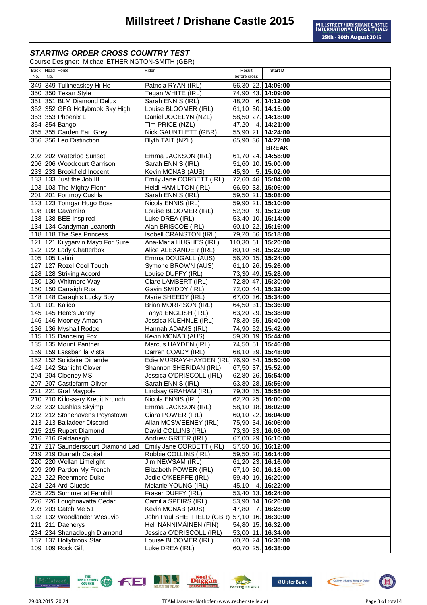Course Designer: Michael ETHERINGTON-SMITH (GBR)

| Back Head Horse                                     | Rider                                        | Result                                   | Start D            |  |
|-----------------------------------------------------|----------------------------------------------|------------------------------------------|--------------------|--|
| No.<br>No.<br>349 349 Tullineaskey Hi Ho            | Patricia RYAN (IRL)                          | before cross                             |                    |  |
| 350 350 Texan Style                                 | Tegan WHITE (IRL)                            | 56,30 22. 14:06:00<br>74,90 43. 14:09:00 |                    |  |
| 351 351 BLM Diamond Delux                           | Sarah ENNIS (IRL)                            | 48,20                                    | 6. 14:12:00        |  |
| 352 352 GFG Hollybrook Sky High                     | Louise BLOOMER (IRL)                         | 61,10 30. 14:15:00                       |                    |  |
| 353 353 Phoenix L                                   | Daniel JOCELYN (NZL)                         | 58,50 27. 14:18:00                       |                    |  |
| 354 354 Bango                                       | Tim PRICE (NZL)                              | 47,20                                    | 4. 14:21:00        |  |
| 355 355 Carden Earl Grey                            | Nick GAUNTLETT (GBR)                         | 55,90 21. 14:24:00                       |                    |  |
| 356 356 Leo Distinction                             | Blyth TAIT (NZL)                             | 65,90 36. 14:27:00                       |                    |  |
|                                                     |                                              |                                          | <b>BREAK</b>       |  |
| 202 202 Waterloo Sunset                             | Emma JACKSON (IRL)                           | 61,70 24. 14:58:00                       |                    |  |
| 206 206 Woodcourt Garrison                          | Sarah ENNIS (IRL)                            | 51,60 10. 15:00:00                       |                    |  |
| 233 233 Brookfield Inocent                          | Kevin MCNAB (AUS)                            | 45,30                                    | 5.15:02:00         |  |
| 133 133 Just the Job III                            | Emily Jane CORBETT (IRL)                     | 72,60 46. 15:04:00                       |                    |  |
| 103 103 The Mighty Fionn                            | Heidi HAMILTON (IRL)                         | 66,50 33. 15:06:00                       |                    |  |
| 201 201 Fortmoy Cushla                              | Sarah ENNIS (IRL)                            | 59,50 21. 15:08:00                       |                    |  |
| 123 123 Tomgar Hugo Boss                            | Nicola ENNIS (IRL)                           | 59,90 21. 15:10:00                       |                    |  |
| 108 108 Cavamiro                                    | Louise BLOOMER (IRL)                         | 52,30                                    | 9.15:12:00         |  |
| 138 138 BEE Inspired                                | Luke DREA (IRL)                              | 53,40 10. 15:14:00                       |                    |  |
| 134 134 Candyman Leanorth                           | Alan BRISCOE (IRL)                           | 60,10 22. 15:16:00                       |                    |  |
| 118 118 The Sea Princess                            | Isobell CRANSTON (IRL)                       | 79,20 56. 15:18:00                       |                    |  |
| 121 121 Kilygarvin Mayo For Sure                    | Ana-Maria HUGHES (IRL)                       | 10,30 61. 15:20:00                       |                    |  |
| 122 122 Lady Chatterbox                             | Alice ALEXANDER (IRL)                        | 80,10 58. 15:22:00                       |                    |  |
| 105 105 Latini                                      | Emma DOUGALL (AUS)                           | 56,20 15. 15:24:00                       |                    |  |
| 127 127 Rozel Cool Touch                            | Symone BROWN (AUS)                           | 61,10 26. 15:26:00                       |                    |  |
| 128 128 Striking Accord                             | Louise DUFFY (IRL)                           | 73,30 49. 15:28:00                       |                    |  |
| 130 130 Whitmore Way                                | Clare LAMBERT (IRL)                          | 72,80 47. 15:30:00                       |                    |  |
| 150 150 Carraigh Rua                                | Gavin SMIDDY (IRL)                           | 72,00 44. 15:32:00                       |                    |  |
| 148 148 Caragh's Lucky Boy<br>101 101 Kalico        | Marie SHEEDY (IRL)<br>Brian MORRISON (IRL)   | 67,00 36. 15:34:00<br>64,50 31. 15:36:00 |                    |  |
| 145 145 Here's Jonny                                | Tanya ENGLISH (IRL)                          | 63,20 29. 15:38:00                       |                    |  |
| 146 146 Mooney Amach                                | Jessica KUEHNLE (IRL)                        | 78,30 55. 15:40:00                       |                    |  |
| 136 136 Myshall Rodge                               | Hannah ADAMS (IRL)                           | 74,90 52. 15:42:00                       |                    |  |
| 115 115 Danceing Fox                                | Kevin MCNAB (AUS)                            | 59,30 19. 15:44:00                       |                    |  |
| 135 135 Mount Panther                               | Marcus HAYDEN (IRL)                          | 74,50 51. 15:46:00                       |                    |  |
| 159 159 Lassban la Vista                            | Darren COADY (IRL)                           | 68,10 39. 15:48:00                       |                    |  |
| 152 152 Solidaire Dirlande                          | Edie MURRAY-HAYDEN (IRL)                     | 76,90 54. 15:50:00                       |                    |  |
| 142 142 Starlight Clover                            | Shannon SHERIDAN (IRL)                       | 67,50 37. 15:52:00                       |                    |  |
| 204 204 Clooney MS                                  | Jessica O'DRISCOLL (IRL)                     | 62,80 26. 15:54:00                       |                    |  |
| 207 207 Castlefarm Oliver                           | Sarah ENNIS (IRL)                            | 63,80 28. 15:56:00                       |                    |  |
| 221 221 Graf Maypole                                | Lindsay GRAHAM (IRL)                         | 79,30 35. 15:58:00                       |                    |  |
| 210 210 Killossery Kredit Krunch                    | Nicola ENNIS (IRL)                           | 62,20 25. 16:00:00                       |                    |  |
| 232 232 Cushlas Skyimp                              | Emma JACKSON (IRL)                           | 58,10 18. 16:02:00                       |                    |  |
| 212 212 Stonehavens Poynstown                       | Ciara POWER (IRL)                            | 60,10 22. 16:04:00                       |                    |  |
| 213 213 Balladeer Discord<br>215 215 Rupert Diamond | Allan MCSWEENEY (IRL)                        | 75,90 34. 16:06:00<br>73,30 33. 16:08:00 |                    |  |
| 216 216 Galdanagh                                   | David COLLINS (IRL)<br>Andrew GREER (IRL)    | 67,00 29. 16:10:00                       |                    |  |
| 217 217 Saunderscourt Diamond Lad                   | Emily Jane CORBETT (IRL)                     | 57,50 16. 16:12:00                       |                    |  |
| 219 219 Dunrath Capital                             | Robbie COLLINS (IRL)                         | 59,50 20. 16:14:00                       |                    |  |
| 220 220 Wellan Limelight                            | Jim NEWSAM (IRL)                             | 61,20 23. 16:16:00                       |                    |  |
| 209 209 Pardon My French                            | Elizabeth POWER (IRL)                        | 67,10 30. 16:18:00                       |                    |  |
| 222 222 Reenmore Duke                               | Jodie O'KEEFFE (IRL)                         | 59,40 19. 16:20:00                       |                    |  |
| 224 224 Ard Cluedo                                  | Melanie YOUNG (IRL)                          | 45,10                                    | 4. 16:22:00        |  |
| 225 225 Summer at Fernhill                          | Fraser DUFFY (IRL)                           | 53,40 13. 16:24:00                       |                    |  |
| 226 226 Loughnavatta Cedar                          | Camilla SPEIRS (IRL)                         | $\overline{53,90}$ 14. 16:26:00          |                    |  |
| 203 203 Catch Me 51                                 | Kevin MCNAB (AUS)                            | 47,80 7. 16:28:00                        |                    |  |
| 132 132 Woodlander Wesuvio                          | John Paul SHEFFIELD (GBR) 57,10 16. 16:30:00 |                                          |                    |  |
| 211 211 Daenerys                                    | Heli NÄNNIMÄINEN (FIN)                       | 54,80 15. 16:32:00                       |                    |  |
| 234 234 Shanaclough Diamond                         | Jessica O'DRISCOLL (IRL)                     | 53,00 11. 16:34:00                       |                    |  |
| 137 137 Hollybrook Star                             | Louise BLOOMER (IRL)                         | 60,20 24. 16:36:00                       |                    |  |
| 109 109 Rock Gift                                   | Luke DREA (IRL)                              |                                          | 60,70 25. 16:38:00 |  |













围